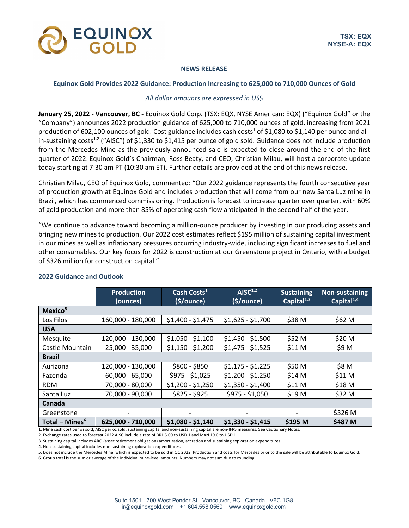

## **NEWS RELEASE**

### **Equinox Gold Provides 2022 Guidance: Production Increasing to 625,000 to 710,000 Ounces of Gold**

## *All dollar amounts are expressed in US\$*

**January 25, 2022 - Vancouver, BC -** Equinox Gold Corp. (TSX: EQX, NYSE American: EQX) ("Equinox Gold" or the "Company") announces 2022 production guidance of 625,000 to 710,000 ounces of gold, increasing from 2021 production of 602,100 ounces of gold. Cost guidance includes cash costs<sup>1</sup> of \$1,080 to \$1,140 per ounce and allin-sustaining costs<sup>1,2</sup> ("AISC") of \$1,330 to \$1,415 per ounce of gold sold. Guidance does not include production from the Mercedes Mine as the previously announced sale is expected to close around the end of the first quarter of 2022. Equinox Gold's Chairman, Ross Beaty, and CEO, Christian Milau, will host a corporate update today starting at 7:30 am PT (10:30 am ET). Further details are provided at the end of this news release.

Christian Milau, CEO of Equinox Gold, commented: "Our 2022 guidance represents the fourth consecutive year of production growth at Equinox Gold and includes production that will come from our new Santa Luz mine in Brazil, which has commenced commissioning. Production is forecast to increase quarter over quarter, with 60% of gold production and more than 85% of operating cash flow anticipated in the second half of the year.

"We continue to advance toward becoming a million-ounce producer by investing in our producing assets and bringing new mines to production. Our 2022 cost estimates reflect \$195 million of sustaining capital investment in our mines as well as inflationary pressures occurring industry-wide, including significant increases to fuel and other consumables. Our key focus for 2022 is construction at our Greenstone project in Ontario, with a budget of \$326 million for construction capital."

|                            | <b>Production</b><br>(ounces) | Cash Costs <sup>1</sup><br>(s/ounce) | AISC <sup>1,2</sup><br>(\$/ounce) | <b>Sustaining</b><br>Capital $1,3$ | Non-sustaining<br>Capital <sup>1,4</sup> |
|----------------------------|-------------------------------|--------------------------------------|-----------------------------------|------------------------------------|------------------------------------------|
| Mexico <sup>5</sup>        |                               |                                      |                                   |                                    |                                          |
| Los Filos                  | 160,000 - 180,000             | $$1,400 - $1,475$                    | $$1,625 - $1,700$                 | \$38 M                             | \$62 M                                   |
| <b>USA</b>                 |                               |                                      |                                   |                                    |                                          |
| Mesquite                   | 120,000 - 130,000             | $$1,050 - $1,100$                    | $$1,450 - $1,500$                 | \$52 M                             | \$20 M                                   |
| Castle Mountain            | 25,000 - 35,000               | $$1,150 - $1,200$                    | $$1,475 - $1,525$                 | \$11 M                             | \$9 M                                    |
| <b>Brazil</b>              |                               |                                      |                                   |                                    |                                          |
| Aurizona                   | 120,000 - 130,000             | $$800 - $850$                        | $$1,175 - $1,225$                 | \$50 M                             | \$8 M                                    |
| Fazenda                    | $60,000 - 65,000$             | $$975 - $1,025$                      | $$1,200 - $1,250$                 | \$14 M                             | \$11 M                                   |
| <b>RDM</b>                 | 70,000 - 80,000               | $$1,200 - $1,250$                    | $$1,350 - $1,400$                 | \$11 M                             | \$18 M                                   |
| Santa Luz                  | 70,000 - 90,000               | $$825 - $925$                        | $$975 - $1,050$                   | \$19 M                             | \$32 M                                   |
| Canada                     |                               |                                      |                                   |                                    |                                          |
| Greenstone                 | $\overline{\phantom{a}}$      |                                      |                                   |                                    | \$326 M                                  |
| Total - Mines <sup>6</sup> | 625,000 - 710,000             | $$1,080 - $1,140$                    | $$1,330 - $1,415$                 | \$195 M                            | \$487 M                                  |

# **2022 Guidance and Outlook**

1. Mine cash cost per oz sold, AISC per oz sold, sustaining capital and non-sustaining capital are non-IFRS measures. See Cautionary Notes.

2. Exchange rates used to forecast 2022 AISC include a rate of BRL 5.00 to USD 1 and MXN 19.0 to USD 1.

3. Sustaining capital includes ARO (asset retirement obligation) amortization, accretion and sustaining exploration expenditures.

4. Non-sustaining capital includes non-sustaining exploration expenditures.

5. Does not include the Mercedes Mine, which is expected to be sold in Q1 2022. Production and costs for Mercedes prior to the sale will be attributable to Equinox Gold.

6. Group total is the sum or average of the individual mine-level amounts. Numbers may not sum due to rounding.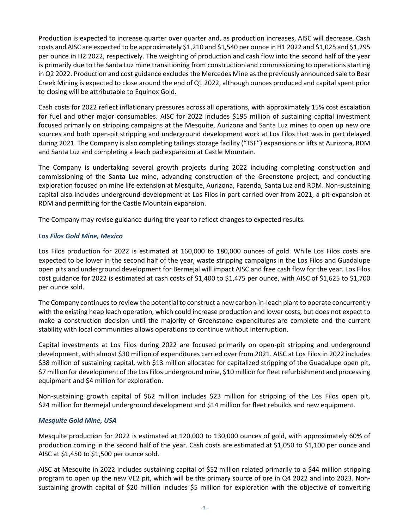Production is expected to increase quarter over quarter and, as production increases, AISC will decrease. Cash costs and AISC are expected to be approximately \$1,210 and \$1,540 per ounce in H1 2022 and \$1,025 and \$1,295 per ounce in H2 2022, respectively. The weighting of production and cash flow into the second half of the year is primarily due to the Santa Luz mine transitioning from construction and commissioning to operations starting in Q2 2022. Production and cost guidance excludes the Mercedes Mine as the previously announced sale to Bear Creek Mining is expected to close around the end of Q1 2022, although ounces produced and capital spent prior to closing will be attributable to Equinox Gold.

Cash costs for 2022 reflect inflationary pressures across all operations, with approximately 15% cost escalation for fuel and other major consumables. AISC for 2022 includes \$195 million of sustaining capital investment focused primarily on stripping campaigns at the Mesquite, Aurizona and Santa Luz mines to open up new ore sources and both open-pit stripping and underground development work at Los Filos that was in part delayed during 2021. The Company is also completing tailings storage facility ("TSF") expansions or lifts at Aurizona, RDM and Santa Luz and completing a leach pad expansion at Castle Mountain.

The Company is undertaking several growth projects during 2022 including completing construction and commissioning of the Santa Luz mine, advancing construction of the Greenstone project, and conducting exploration focused on mine life extension at Mesquite, Aurizona, Fazenda, Santa Luz and RDM. Non-sustaining capital also includes underground development at Los Filos in part carried over from 2021, a pit expansion at RDM and permitting for the Castle Mountain expansion.

The Company may revise guidance during the year to reflect changes to expected results.

# *Los Filos Gold Mine, Mexico*

Los Filos production for 2022 is estimated at 160,000 to 180,000 ounces of gold. While Los Filos costs are expected to be lower in the second half of the year, waste stripping campaigns in the Los Filos and Guadalupe open pits and underground development for Bermejal will impact AISC and free cash flow for the year. Los Filos cost guidance for 2022 is estimated at cash costs of \$1,400 to \$1,475 per ounce, with AISC of \$1,625 to \$1,700 per ounce sold.

The Company continues to review the potential to construct a new carbon-in-leach plant to operate concurrently with the existing heap leach operation, which could increase production and lower costs, but does not expect to make a construction decision until the majority of Greenstone expenditures are complete and the current stability with local communities allows operations to continue without interruption.

Capital investments at Los Filos during 2022 are focused primarily on open-pit stripping and underground development, with almost \$30 million of expenditures carried over from 2021. AISC at Los Filos in 2022 includes \$38 million of sustaining capital, with \$13 million allocated for capitalized stripping of the Guadalupe open pit, \$7 million for development of the Los Filos underground mine, \$10 million forfleet refurbishment and processing equipment and \$4 million for exploration.

Non-sustaining growth capital of \$62 million includes \$23 million for stripping of the Los Filos open pit, \$24 million for Bermejal underground development and \$14 million for fleet rebuilds and new equipment.

# *Mesquite Gold Mine, USA*

Mesquite production for 2022 is estimated at 120,000 to 130,000 ounces of gold, with approximately 60% of production coming in the second half of the year. Cash costs are estimated at \$1,050 to \$1,100 per ounce and AISC at \$1,450 to \$1,500 per ounce sold.

AISC at Mesquite in 2022 includes sustaining capital of \$52 million related primarily to a \$44 million stripping program to open up the new VE2 pit, which will be the primary source of ore in Q4 2022 and into 2023. Nonsustaining growth capital of \$20 million includes \$5 million for exploration with the objective of converting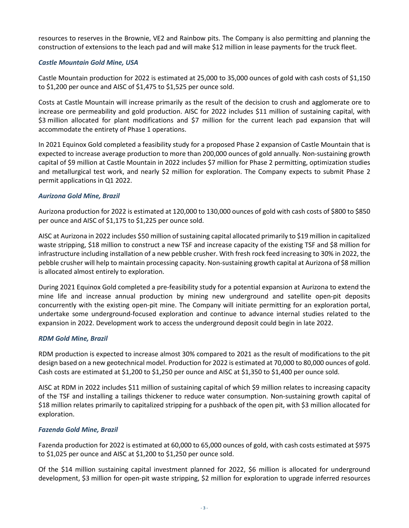resources to reserves in the Brownie, VE2 and Rainbow pits. The Company is also permitting and planning the construction of extensions to the leach pad and will make \$12 million in lease payments for the truck fleet.

# *Castle Mountain Gold Mine, USA*

Castle Mountain production for 2022 is estimated at 25,000 to 35,000 ounces of gold with cash costs of \$1,150 to \$1,200 per ounce and AISC of \$1,475 to \$1,525 per ounce sold.

Costs at Castle Mountain will increase primarily as the result of the decision to crush and agglomerate ore to increase ore permeability and gold production. AISC for 2022 includes \$11 million of sustaining capital, with \$3 million allocated for plant modifications and \$7 million for the current leach pad expansion that will accommodate the entirety of Phase 1 operations.

In 2021 Equinox Gold completed a feasibility study for a proposed Phase 2 expansion of Castle Mountain that is expected to increase average production to more than 200,000 ounces of gold annually. Non-sustaining growth capital of \$9 million at Castle Mountain in 2022 includes \$7 million for Phase 2 permitting, optimization studies and metallurgical test work, and nearly \$2 million for exploration. The Company expects to submit Phase 2 permit applications in Q1 2022.

# *Aurizona Gold Mine, Brazil*

Aurizona production for 2022 is estimated at 120,000 to 130,000 ounces of gold with cash costs of \$800 to \$850 per ounce and AISC of \$1,175 to \$1,225 per ounce sold.

AISC at Aurizona in 2022 includes \$50 million of sustaining capital allocated primarily to \$19 million in capitalized waste stripping, \$18 million to construct a new TSF and increase capacity of the existing TSF and \$8 million for infrastructure including installation of a new pebble crusher. With fresh rock feed increasing to 30% in 2022, the pebble crusher will help to maintain processing capacity. Non-sustaining growth capital at Aurizona of \$8 million is allocated almost entirely to exploration.

During 2021 Equinox Gold completed a pre-feasibility study for a potential expansion at Aurizona to extend the mine life and increase annual production by mining new underground and satellite open-pit deposits concurrently with the existing open-pit mine. The Company will initiate permitting for an exploration portal, undertake some underground-focused exploration and continue to advance internal studies related to the expansion in 2022. Development work to access the underground deposit could begin in late 2022.

# *RDM Gold Mine, Brazil*

RDM production is expected to increase almost 30% compared to 2021 as the result of modifications to the pit design based on a new geotechnical model. Production for 2022 is estimated at 70,000 to 80,000 ounces of gold. Cash costs are estimated at \$1,200 to \$1,250 per ounce and AISC at \$1,350 to \$1,400 per ounce sold.

AISC at RDM in 2022 includes \$11 million of sustaining capital of which \$9 million relates to increasing capacity of the TSF and installing a tailings thickener to reduce water consumption. Non-sustaining growth capital of \$18 million relates primarily to capitalized stripping for a pushback of the open pit, with \$3 million allocated for exploration.

# *Fazenda Gold Mine, Brazil*

Fazenda production for 2022 is estimated at 60,000 to 65,000 ounces of gold, with cash costs estimated at \$975 to \$1,025 per ounce and AISC at \$1,200 to \$1,250 per ounce sold.

Of the \$14 million sustaining capital investment planned for 2022, \$6 million is allocated for underground development, \$3 million for open-pit waste stripping, \$2 million for exploration to upgrade inferred resources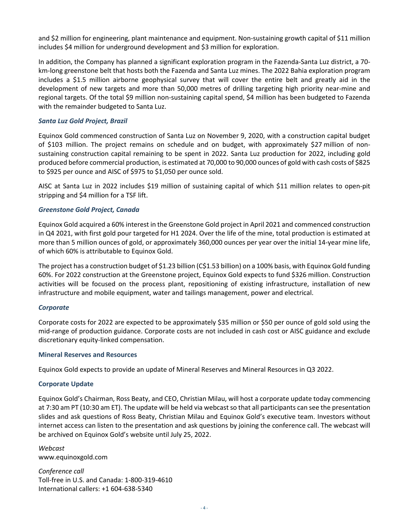and \$2 million for engineering, plant maintenance and equipment. Non-sustaining growth capital of \$11 million includes \$4 million for underground development and \$3 million for exploration.

In addition, the Company has planned a significant exploration program in the Fazenda-Santa Luz district, a 70 km-long greenstone belt that hosts both the Fazenda and Santa Luz mines. The 2022 Bahia exploration program includes a \$1.5 million airborne geophysical survey that will cover the entire belt and greatly aid in the development of new targets and more than 50,000 metres of drilling targeting high priority near-mine and regional targets. Of the total \$9 million non-sustaining capital spend, \$4 million has been budgeted to Fazenda with the remainder budgeted to Santa Luz.

# *Santa Luz Gold Project, Brazil*

Equinox Gold commenced construction of Santa Luz on November 9, 2020, with a construction capital budget of \$103 million. The project remains on schedule and on budget, with approximately \$27 million of nonsustaining construction capital remaining to be spent in 2022. Santa Luz production for 2022, including gold produced before commercial production, is estimated at 70,000 to 90,000 ounces of gold with cash costs of \$825 to \$925 per ounce and AISC of \$975 to \$1,050 per ounce sold.

AISC at Santa Luz in 2022 includes \$19 million of sustaining capital of which \$11 million relates to open-pit stripping and \$4 million for a TSF lift.

## *Greenstone Gold Project, Canada*

Equinox Gold acquired a 60% interest in the Greenstone Gold project in April 2021 and commenced construction in Q4 2021, with first gold pour targeted for H1 2024. Over the life of the mine, total production is estimated at more than 5 million ounces of gold, or approximately 360,000 ounces per year over the initial 14-year mine life, of which 60% is attributable to Equinox Gold.

The project has a construction budget of \$1.23 billion (C\$1.53 billion) on a 100% basis, with Equinox Gold funding 60%. For 2022 construction at the Greenstone project, Equinox Gold expects to fund \$326 million. Construction activities will be focused on the process plant, repositioning of existing infrastructure, installation of new infrastructure and mobile equipment, water and tailings management, power and electrical.

## *Corporate*

Corporate costs for 2022 are expected to be approximately \$35 million or \$50 per ounce of gold sold using the mid-range of production guidance. Corporate costs are not included in cash cost or AISC guidance and exclude discretionary equity-linked compensation.

## **Mineral Reserves and Resources**

Equinox Gold expects to provide an update of Mineral Reserves and Mineral Resources in Q3 2022.

## **Corporate Update**

Equinox Gold's Chairman, Ross Beaty, and CEO, Christian Milau, will host a corporate update today commencing at 7:30 am PT (10:30 am ET). The update will be held via webcast so that all participants can see the presentation slides and ask questions of Ross Beaty, Christian Milau and Equinox Gold's executive team. Investors without internet access can listen to the presentation and ask questions by joining the conference call. The webcast will be archived on Equinox Gold's website until July 25, 2022.

*Webcast* [www.equinoxgold.com](https://www.equinoxgold.com/investors/presentations/)

*Conference call* Toll-free in U.S. and Canada: 1-800-319-4610 International callers: +1 604-638-5340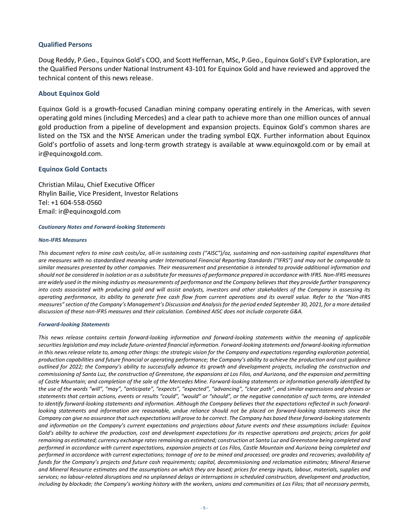## **Qualified Persons**

Doug Reddy, P.Geo., Equinox Gold's COO, and Scott Heffernan, MSc, P.Geo., Equinox Gold's EVP Exploration, are the Qualified Persons under National Instrument 43-101 for Equinox Gold and have reviewed and approved the technical content of this news release.

### **About Equinox Gold**

Equinox Gold is a growth-focused Canadian mining company operating entirely in the Americas, with seven operating gold mines (including Mercedes) and a clear path to achieve more than one million ounces of annual gold production from a pipeline of development and expansion projects. Equinox Gold's common shares are listed on the TSX and the NYSE American under the trading symbol EQX. Further information about Equinox Gold's portfolio of assets and long-term growth strategy is available at www.equinoxgold.com or by email at ir@equinoxgold.com.

#### **Equinox Gold Contacts**

Christian Milau, Chief Executive Officer Rhylin Bailie, Vice President, Investor Relations Tel: +1 604-558-0560 Email: ir@equinoxgold.com

#### *Cautionary Notes and Forward-looking Statements*

#### *Non-IFRS Measures*

*This document refers to mine cash costs/oz, all-in sustaining costs ("AISC")/oz, sustaining and non-sustaining capital expenditures that are measures with no standardized meaning under International Financial Reporting Standards ("IFRS") and may not be comparable to similar measures presented by other companies. Their measurement and presentation is intended to provide additional information and should not be considered in isolation or as a substitute for measures of performance prepared in accordance with IFRS. Non-IFRS measures are widely used in the mining industry as measurements of performance and the Company believes that they provide further transparency into costs associated with producing gold and will assist analysts, investors and other stakeholders of the Company in assessing its operating performance, its ability to generate free cash flow from current operations and its overall value. Refer to the "Non-IFRS measures" section of the Company's Management's Discussion and Analysis for the period ended September 30, 2021, for a more detailed discussion of these non-IFRS measures and their calculation. Combined AISC does not include corporate G&A.*

#### *Forward-looking Statements*

*This news release contains certain forward-looking information and forward-looking statements within the meaning of applicable securities legislation and may include future-oriented financial information. Forward-looking statements and forward-looking information in this news release relate to, among other things: the strategic vision for the Company and expectations regarding exploration potential, production capabilities and future financial or operating performance; the Company's ability to achieve the production and cost guidance outlined for 2022; the Company's ability to successfully advance its growth and development projects, including the construction and commissioning of Santa Luz, the construction of Greenstone, the expansions at Los Filos, and Aurizona, and the expansion and permitting of Castle Mountain; and completion of the sale of the Mercedes Mine. Forward-looking statements or information generally identified by the use of the words "will", "may", "anticipate", "expects", "expected", "advancing", "clear path", and similar expressions and phrases or statements that certain actions, events or results "could", "would" or "should", or the negative connotation of such terms, are intended to identify forward-looking statements and information. Although the Company believes that the expectations reflected in such forwardlooking statements and information are reasonable, undue reliance should not be placed on forward-looking statements since the Company can give no assurance that such expectations will prove to be correct. The Company has based these forward-looking statements and information on the Company's current expectations and projections about future events and these assumptions include: Equinox Gold's ability to achieve the production, cost and development expectations for its respective operations and projects; prices for gold remaining as estimated; currency exchange rates remaining as estimated; construction at Santa Luz and Greenstone being completed and performed in accordance with current expectations, expansion projects at Los Filos, Castle Mountain and Aurizona being completed and performed in accordance with current expectations; tonnage of ore to be mined and processed; ore grades and recoveries; availability of funds for the Company's projects and future cash requirements; capital, decommissioning and reclamation estimates; Mineral Reserve and Mineral Resource estimates and the assumptions on which they are based; prices for energy inputs, labour, materials, supplies and services; no labour-related disruptions and no unplanned delays or interruptions in scheduled construction, development and production, including by blockade; the Company's working history with the workers, unions and communities at Los Filos; that all necessary permits,*